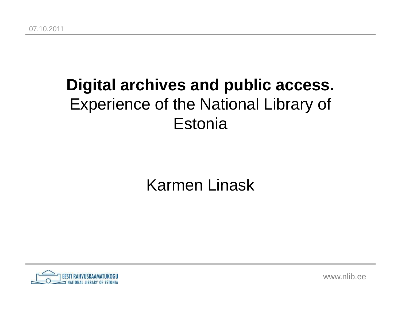## **Digital archives and public access.** Experience of the National Library of Estonia

#### Karmen Linask



www.nlib.ee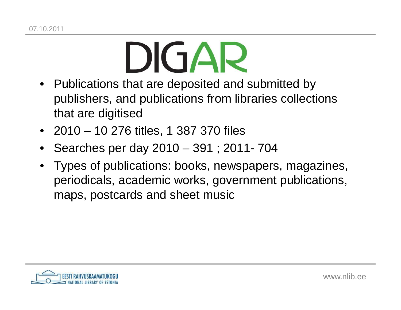# $\blacksquare$

- Publications that are deposited and submitted by publishers, and publications from libraries collections that are digitised
- 2010 10 276 titles, 1 387 370 files
- •• Searches per day 2010 – 391 ; 2011- 704
- Types of publications: books, newspapers, magazines, periodicals, academic works, government publications, maps, postcards and sheet music

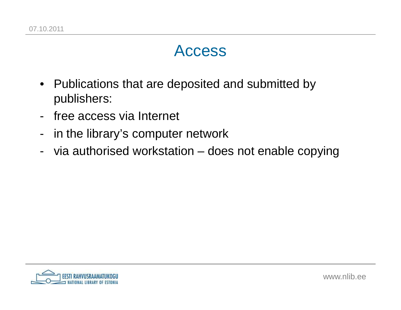#### Access

- Publications that are deposited and submitted by publishers:
- free access via Internet
- in the library's computer network
- -- via authorised workstation – does not enable copying

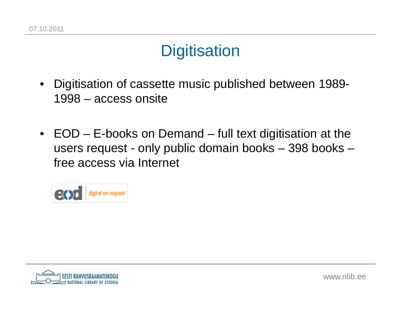## **Digitisation**

- • Digitisation of cassette music published between 1989-1998 – access onsite
- EOD E-books on Demand full text digitisation at the users request - only public domain books –Digitisation<br>
• Digitisation of cassette music published between 1989-<br>
1998 – access onsite<br>
• EOD – E-books on Demand – full text digitisation at the<br>
users request - only public domain books – 398 books –<br>
free access v



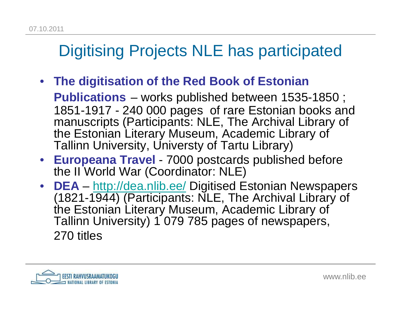## Digitising Projects NLE has participated

• **The digitisation of the Red Book of Estonian** 

**Publications** – works published between 1535-1850 ; 1851-1917 - 240 000 pages of rare Estonian books and manuscripts (Participants: NLE, The Archival Library of the Estonian Literary Museum, Academic Library of Tallinn University, Universty of Tartu Library)

- **Europeana Travel** - 7000 postcards published before the II World War (Coordinator: NLE)
- • **DEALinks of the Common** – http://dea.nlib.ee/ Digitised Estonian Newspapers (1821-1944) (Participants: NLE, The Archival Library of the Estonian Literary Museum, Academic Library of Tallinn University) 1 079 785 pages of newspapers,270 titles

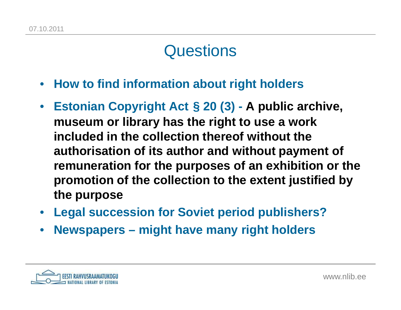#### **Questions**

- $\bullet$ **How to find information about right holders**
- $\bullet$  **Estonian Copyright Act § 20 (3) - A public archive, museum or library has the right to use a work included in the collection thereof without the authorisation of its author and without payment of remuneration for the purposes of an exhibition or the promotion of the collection to the extent justified by the purpose**
- **Legal succession for Soviet period publishers?**
- •**Newspapers – might have many right holders**

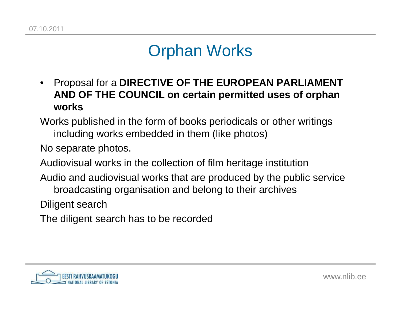#### Orphan Works

- • Proposal for a **DIRECTIVE OF THE EUROPEAN PARLIAMENT AND OF THE COUNCIL on certain permitted uses of orphan works**
- Works published in the form of books periodicals or other writings including works embedded in them (like photos)

No separate photos.

Audiovisual works in the collection of film heritage institution

Audio and audiovisual works that are produced by the public service broadcasting organisation and belong to their archives

Diligent search

The diligent search has to be recorded

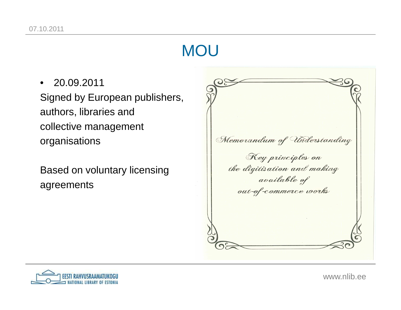#### **MOU**

• 20.09.2011 Signed by European publishers, authors, libraries andcollective managementorganisations

Based on voluntary licensing agreements





www.nlib.ee